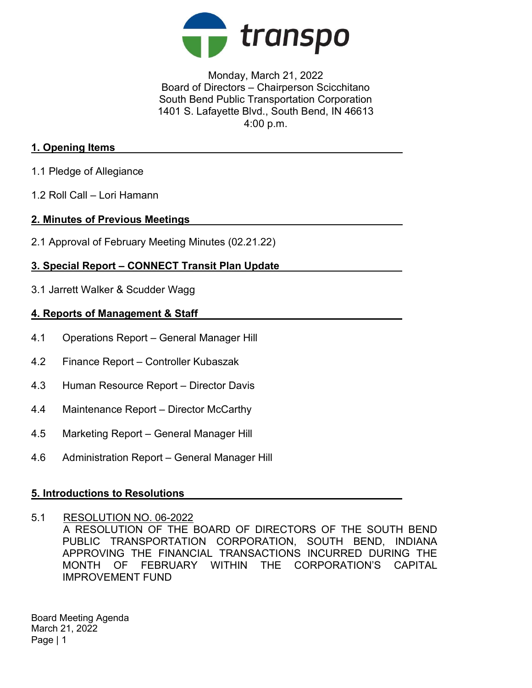

Monday, March 21, 2022 Board of Directors – Chairperson Scicchitano South Bend Public Transportation Corporation 1401 S. Lafayette Blvd., South Bend, IN 46613 4:00 p.m.

## 1. Opening Items

- 1.1 Pledge of Allegiance
- 1.2 Roll Call Lori Hamann

## 2. Minutes of Previous Meetings

2.1 Approval of February Meeting Minutes (02.21.22)

# 3. Special Report – CONNECT Transit Plan Update

3.1 Jarrett Walker & Scudder Wagg

## 4. Reports of Management & Staff

- 4.1 Operations Report General Manager Hill
- 4.2 Finance Report Controller Kubaszak
- 4.3 Human Resource Report Director Davis
- 4.4 Maintenance Report Director McCarthy
- 4.5 Marketing Report General Manager Hill
- 4.6 Administration Report General Manager Hill

#### 5. Introductions to Resolutions

5.1 RESOLUTION NO. 06-2022

A RESOLUTION OF THE BOARD OF DIRECTORS OF THE SOUTH BEND PUBLIC TRANSPORTATION CORPORATION, SOUTH BEND, INDIANA APPROVING THE FINANCIAL TRANSACTIONS INCURRED DURING THE MONTH OF FEBRUARY WITHIN THE CORPORATION'S CAPITAL IMPROVEMENT FUND

Board Meeting Agenda March 21, 2022 Page | 1